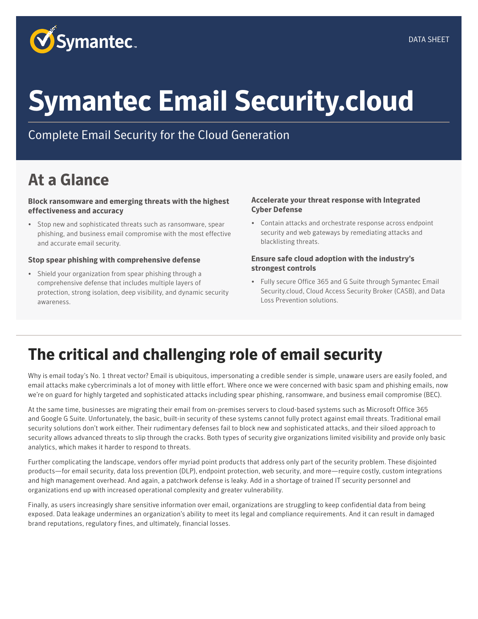

# **Symantec Email Security.cloud**

Complete Email Security for the Cloud Generation

# **At a Glance**

**Block ransomware and emerging threats with the highest effectiveness and accuracy** 

• Stop new and sophisticated threats such as ransomware, spear phishing, and business email compromise with the most effective and accurate email security.

#### **Stop spear phishing with comprehensive defense**

• Shield your organization from spear phishing through a comprehensive defense that includes multiple layers of protection, strong isolation, deep visibility, and dynamic security awareness.

#### **Accelerate your threat response with Integrated Cyber Defense**

• Contain attacks and orchestrate response across endpoint security and web gateways by remediating attacks and blacklisting threats.

#### **Ensure safe cloud adoption with the industry's strongest controls**

• Fully secure Office 365 and G Suite through Symantec Email Security.cloud, Cloud Access Security Broker (CASB), and Data Loss Prevention solutions.

## **The critical and challenging role of email security**

Why is email today's No. 1 threat vector? Email is ubiquitous, impersonating a credible sender is simple, unaware users are easily fooled, and email attacks make cybercriminals a lot of money with little effort. Where once we were concerned with basic spam and phishing emails, now we're on guard for highly targeted and sophisticated attacks including spear phishing, ransomware, and business email compromise (BEC).

At the same time, businesses are migrating their email from on-premises servers to cloud-based systems such as Microsoft Office 365 and Google G Suite. Unfortunately, the basic, built-in security of these systems cannot fully protect against email threats. Traditional email security solutions don't work either. Their rudimentary defenses fail to block new and sophisticated attacks, and their siloed approach to security allows advanced threats to slip through the cracks. Both types of security give organizations limited visibility and provide only basic analytics, which makes it harder to respond to threats.

Further complicating the landscape, vendors offer myriad point products that address only part of the security problem. These disjointed products—for email security, data loss prevention (DLP), endpoint protection, web security, and more—require costly, custom integrations and high management overhead. And again, a patchwork defense is leaky. Add in a shortage of trained IT security personnel and organizations end up with increased operational complexity and greater vulnerability.

Finally, as users increasingly share sensitive information over email, organizations are struggling to keep confidential data from being exposed. Data leakage undermines an organization's ability to meet its legal and compliance requirements. And it can result in damaged brand reputations, regulatory fines, and ultimately, financial losses.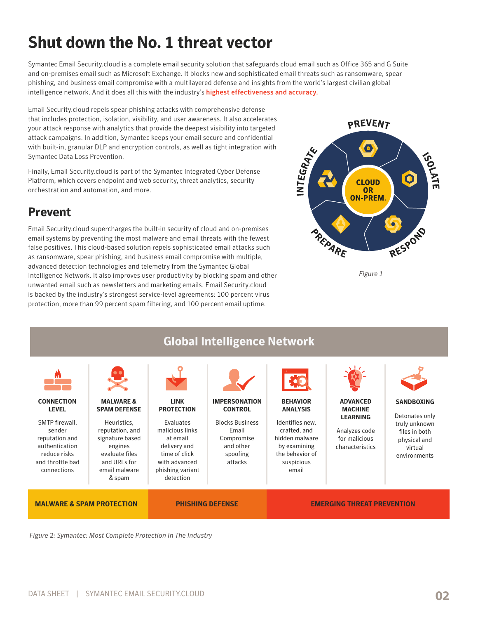# **Shut down the No. 1 threat vector**

Symantec Email Security.cloud is a complete email security solution that safeguards cloud email such as Office 365 and G Suite and on-premises email such as Microsoft Exchange. It blocks new and sophisticated email threats such as ransomware, spear phishing, and business email compromise with a multilayered defense and insights from the world's largest civilian global intelligence network. And it does all this with the industry's [highest effectiveness and accuracy.](https://www.symantec.com/connect/articles/how-does-symantec-email-security-stack-against-competition)

Email Security.cloud repels spear phishing attacks with comprehensive defense that includes protection, isolation, visibility, and user awareness. It also accelerates your attack response with analytics that provide the deepest visibility into targeted attack campaigns. In addition, Symantec keeps your email secure and confidential with built-in, granular DLP and encryption controls, as well as tight integration with Symantec Data Loss Prevention.

Finally, Email Security.cloud is part of the Symantec Integrated Cyber Defense Platform, which covers endpoint and web security, threat analytics, security orchestration and automation, and more.

#### **Prevent**

Email Security.cloud supercharges the built-in security of cloud and on-premises email systems by preventing the most malware and email threats with the fewest false positives. This cloud-based solution repels sophisticated email attacks such as ransomware, spear phishing, and business email compromise with multiple, advanced detection technologies and telemetry from the Symantec Global Intelligence Network. It also improves user productivity by blocking spam and other unwanted email such as newsletters and marketing emails. Email Security.cloud is backed by the industry's strongest service-level agreements: 100 percent virus protection, more than 99 percent spam filtering, and 100 percent email uptime.



*Figure 1*



*Figure 2: Symantec: Most Complete Protection In The Industry*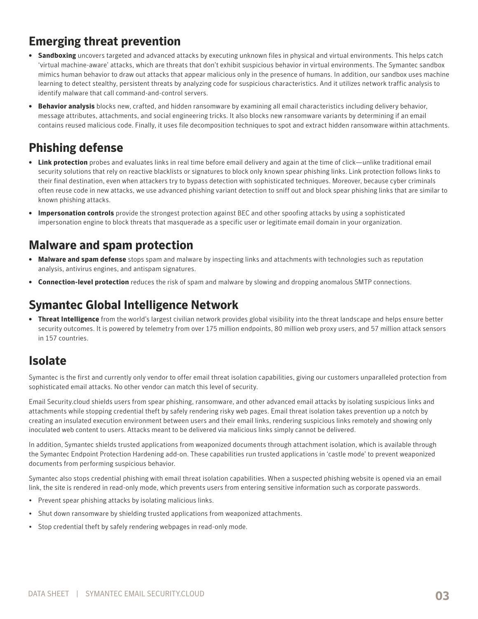## **Emerging threat prevention**

- **• Sandboxing** uncovers targeted and advanced attacks by executing unknown files in physical and virtual environments. This helps catch 'virtual machine-aware' attacks, which are threats that don't exhibit suspicious behavior in virtual environments. The Symantec sandbox mimics human behavior to draw out attacks that appear malicious only in the presence of humans. In addition, our sandbox uses machine learning to detect stealthy, persistent threats by analyzing code for suspicious characteristics. And it utilizes network traffic analysis to identify malware that call command-and-control servers.
- **• Behavior analysis** blocks new, crafted, and hidden ransomware by examining all email characteristics including delivery behavior, message attributes, attachments, and social engineering tricks. It also blocks new ransomware variants by determining if an email contains reused malicious code. Finally, it uses file decomposition techniques to spot and extract hidden ransomware within attachments.

## **Phishing defense**

- **• Link protection** probes and evaluates links in real time before email delivery and again at the time of click—unlike traditional email security solutions that rely on reactive blacklists or signatures to block only known spear phishing links. Link protection follows links to their final destination, even when attackers try to bypass detection with sophisticated techniques. Moreover, because cyber criminals often reuse code in new attacks, we use advanced phishing variant detection to sniff out and block spear phishing links that are similar to known phishing attacks.
- **• Impersonation controls** provide the strongest protection against BEC and other spoofing attacks by using a sophisticated impersonation engine to block threats that masquerade as a specific user or legitimate email domain in your organization.

#### **Malware and spam protection**

- **• Malware and spam defense** stops spam and malware by inspecting links and attachments with technologies such as reputation analysis, antivirus engines, and antispam signatures.
- **• Connection-level protection** reduces the risk of spam and malware by slowing and dropping anomalous SMTP connections.

## **Symantec Global Intelligence Network**

**• Threat Intelligence** from the world's largest civilian network provides global visibility into the threat landscape and helps ensure better security outcomes. It is powered by telemetry from over 175 million endpoints, 80 million web proxy users, and 57 million attack sensors in 157 countries.

#### **Isolate**

Symantec is the first and currently only vendor to offer email threat isolation capabilities, giving our customers unparalleled protection from sophisticated email attacks. No other vendor can match this level of security.

Email Security.cloud shields users from spear phishing, ransomware, and other advanced email attacks by isolating suspicious links and attachments while stopping credential theft by safely rendering risky web pages. Email threat isolation takes prevention up a notch by creating an insulated execution environment between users and their email links, rendering suspicious links remotely and showing only inoculated web content to users. Attacks meant to be delivered via malicious links simply cannot be delivered.

In addition, Symantec shields trusted applications from weaponized documents through attachment isolation, which is available through the Symantec Endpoint Protection Hardening add-on. These capabilities run trusted applications in 'castle mode' to prevent weaponized documents from performing suspicious behavior.

Symantec also stops credential phishing with email threat isolation capabilities. When a suspected phishing website is opened via an email link, the site is rendered in read-only mode, which prevents users from entering sensitive information such as corporate passwords.

- Prevent spear phishing attacks by isolating malicious links.
- Shut down ransomware by shielding trusted applications from weaponized attachments.
- Stop credential theft by safely rendering webpages in read-only mode.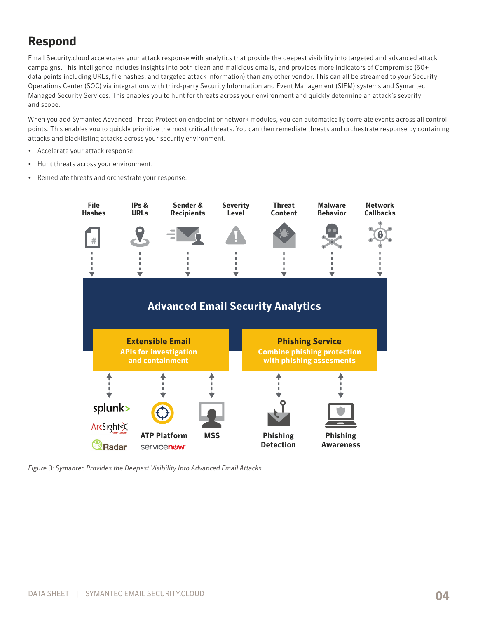## **Respond**

Email Security.cloud accelerates your attack response with analytics that provide the deepest visibility into targeted and advanced attack campaigns. This intelligence includes insights into both clean and malicious emails, and provides more Indicators of Compromise (60+ data points including URLs, file hashes, and targeted attack information) than any other vendor. This can all be streamed to your Security Operations Center (SOC) via integrations with third-party Security Information and Event Management (SIEM) systems and Symantec Managed Security Services. This enables you to hunt for threats across your environment and quickly determine an attack's severity and scope.

When you add Symantec Advanced Threat Protection endpoint or network modules, you can automatically correlate events across all control points. This enables you to quickly prioritize the most critical threats. You can then remediate threats and orchestrate response by containing attacks and blacklisting attacks across your security environment.

- Accelerate your attack response.
- Hunt threats across your environment.
- Remediate threats and orchestrate your response.



*Figure 3: Symantec Provides the Deepest Visibility Into Advanced Email Attacks*